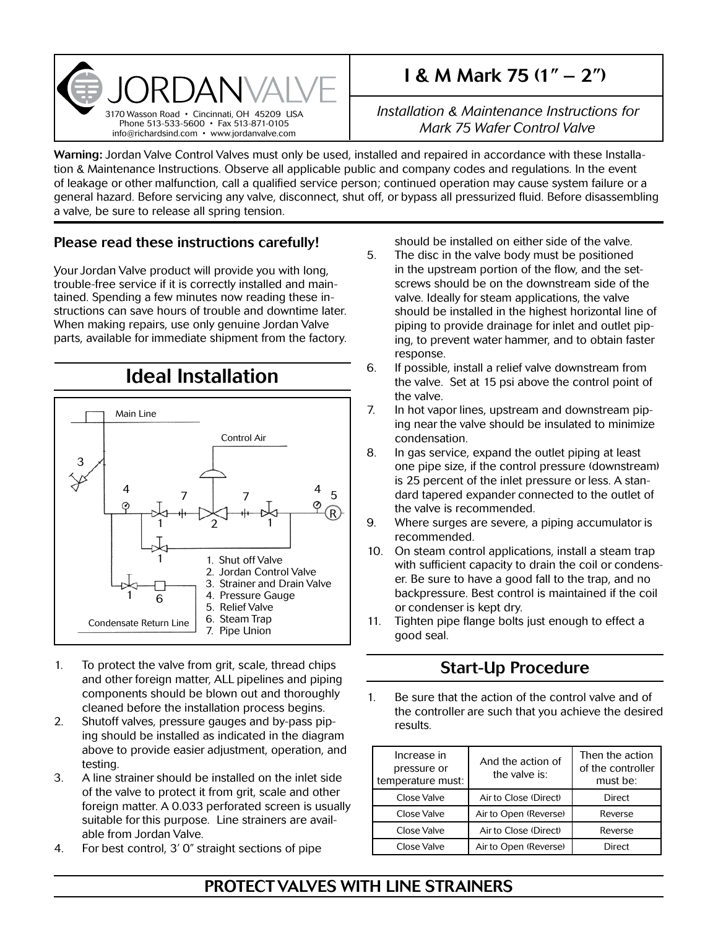

# I & M Mark 75 (1" – 2")

*Installation & Maintenance Instructions for Mark 75 Wafer Control Valve*

Warning: Jordan Valve Control Valves must only be used, installed and repaired in accordance with these Installation & Maintenance Instructions. Observe all applicable public and company codes and regulations. In the event of leakage or other malfunction, call a qualified service person; continued operation may cause system failure or a general hazard. Before servicing any valve, disconnect, shut off, or bypass all pressurized fluid. Before disassembling a valve, be sure to release all spring tension.

### Please read these instructions carefully!

Your Jordan Valve product will provide you with long, trouble-free service if it is correctly installed and maintained. Spending a few minutes now reading these instructions can save hours of trouble and downtime later. When making repairs, use only genuine Jordan Valve parts, available for immediate shipment from the factory.



Ideal Installation

- 1. To protect the valve from grit, scale, thread chips and other foreign matter, ALL pipelines and piping components should be blown out and thoroughly cleaned before the installation process begins.
- 2. Shutoff valves, pressure gauges and by-pass piping should be installed as indicated in the diagram above to provide easier adjustment, operation, and testing.
- 3. A line strainer should be installed on the inlet side of the valve to protect it from grit, scale and other foreign matter. A 0.033 perforated screen is usually suitable for this purpose. Line strainers are available from Jordan Valve.
- 4. For best control, 3' 0" straight sections of pipe

should be installed on either side of the valve.

- 5. The disc in the valve body must be positioned in the upstream portion of the flow, and the setscrews should be on the downstream side of the valve. Ideally for steam applications, the valve should be installed in the highest horizontal line of piping to provide drainage for inlet and outlet piping, to prevent water hammer, and to obtain faster response.
- 6. If possible, install a relief valve downstream from the valve. Set at 15 psi above the control point of the valve.
- 7. In hot vapor lines, upstream and downstream piping near the valve should be insulated to minimize condensation.
- 8. In gas service, expand the outlet piping at least one pipe size, if the control pressure (downstream) is 25 percent of the inlet pressure or less. A standard tapered expander connected to the outlet of the valve is recommended.
- 9. Where surges are severe, a piping accumulator is recommended.
- 10. On steam control applications, install a steam trap with sufficient capacity to drain the coil or condenser. Be sure to have a good fall to the trap, and no backpressure. Best control is maintained if the coil or condenser is kept dry.
- 11. Tighten pipe flange bolts just enough to effect a good seal.

## Start-Up Procedure

1. Be sure that the action of the control valve and of the controller are such that you achieve the desired results.

| Increase in<br>pressure or<br>temperature must: | And the action of<br>the valve is: | Then the action<br>of the controller<br>must be: |  |
|-------------------------------------------------|------------------------------------|--------------------------------------------------|--|
| Close Valve                                     | Air to Close (Direct)              | Direct                                           |  |
| Close Valve                                     | Air to Open (Reverse)              | Reverse                                          |  |
| Close Valve                                     | Air to Close (Direct)              | Reverse                                          |  |
| Close Valve                                     | Air to Open (Reverse)              | Direct                                           |  |

## PROTECT VALVES WITH LINE STRAINERS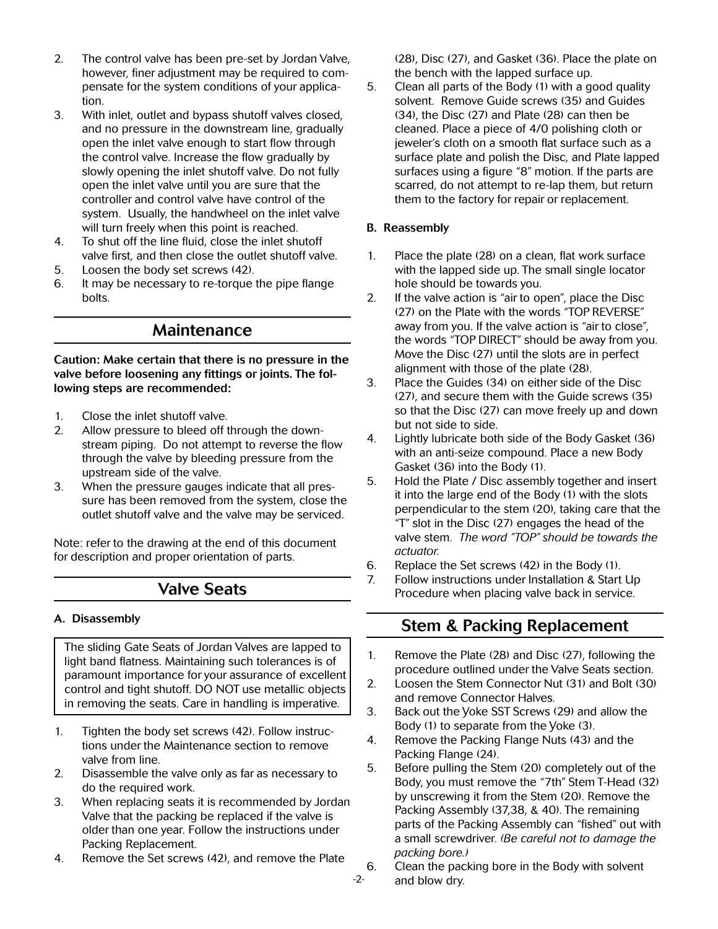- 2. The control valve has been pre-set by Jordan Valve, however, finer adjustment may be required to compensate for the system conditions of your application.
- 3. With inlet, outlet and bypass shutoff valves closed, and no pressure in the downstream line, gradually open the inlet valve enough to start flow through the control valve. Increase the flow gradually by slowly opening the inlet shutoff valve. Do not fully open the inlet valve until you are sure that the controller and control valve have control of the system. Usually, the handwheel on the inlet valve will turn freely when this point is reached.
- 4. To shut off the line fluid, close the inlet shutoff valve first, and then close the outlet shutoff valve.
- 5. Loosen the body set screws (42).
- 6. It may be necessary to re-torque the pipe flange bolts.

### Maintenance

#### Caution: Make certain that there is no pressure in the valve before loosening any fittings or joints. The following steps are recommended:

- 1. Close the inlet shutoff valve.
- 2. Allow pressure to bleed off through the downstream piping. Do not attempt to reverse the flow through the valve by bleeding pressure from the upstream side of the valve.
- 3. When the pressure gauges indicate that all pressure has been removed from the system, close the outlet shutoff valve and the valve may be serviced.

Note: refer to the drawing at the end of this document for description and proper orientation of parts.

## Valve Seats

#### A. Disassembly

The sliding Gate Seats of Jordan Valves are lapped to light band flatness. Maintaining such tolerances is of paramount importance for your assurance of excellent control and tight shutoff. DO NOT use metallic objects in removing the seats. Care in handling is imperative.

- 1. Tighten the body set screws (42). Follow instructions under the Maintenance section to remove valve from line.
- 2. Disassemble the valve only as far as necessary to do the required work.
- 3. When replacing seats it is recommended by Jordan Valve that the packing be replaced if the valve is older than one year. Follow the instructions under Packing Replacement.
- 4. Remove the Set screws (42), and remove the Plate

(28), Disc (27), and Gasket (36). Place the plate on the bench with the lapped surface up.

5. Clean all parts of the Body (1) with a good quality solvent. Remove Guide screws (35) and Guides (34), the Disc (27) and Plate (28) can then be cleaned. Place a piece of 4/0 polishing cloth or jeweler's cloth on a smooth flat surface such as a surface plate and polish the Disc, and Plate lapped surfaces using a figure "8" motion. If the parts are scarred, do not attempt to re-lap them, but return them to the factory for repair or replacement.

#### B. Reassembly

- 1. Place the plate (28) on a clean, flat work surface with the lapped side up. The small single locator hole should be towards you.
- 2. If the valve action is "air to open", place the Disc (27) on the Plate with the words "TOP REVERSE" away from you. If the valve action is "air to close", the words "TOP DIRECT" should be away from you. Move the Disc (27) until the slots are in perfect alignment with those of the plate (28).
- 3. Place the Guides (34) on either side of the Disc (27), and secure them with the Guide screws (35) so that the Disc (27) can move freely up and down but not side to side.
- 4. Lightly lubricate both side of the Body Gasket (36) with an anti-seize compound. Place a new Body Gasket (36) into the Body (1).
- 5. Hold the Plate / Disc assembly together and insert it into the large end of the Body (1) with the slots perpendicular to the stem (20), taking care that the "T" slot in the Disc (27) engages the head of the valve stem. *The word "TOP" should be towards the actuator.*
- 6. Replace the Set screws (42) in the Body (1).
- 7. Follow instructions under Installation & Start Up Procedure when placing valve back in service.

### Stem & Packing Replacement

- 1. Remove the Plate (28) and Disc (27), following the procedure outlined under the Valve Seats section.
- 2. Loosen the Stem Connector Nut (31) and Bolt (30) and remove Connector Halves.
- 3. Back out the Yoke SST Screws (29) and allow the Body (1) to separate from the Yoke (3).
- 4. Remove the Packing Flange Nuts (43) and the Packing Flange (24).
- 5. Before pulling the Stem (20) completely out of the Body, you must remove the "7th" Stem T-Head (32) by unscrewing it from the Stem (20). Remove the Packing Assembly (37,38, & 40). The remaining parts of the Packing Assembly can "fished" out with a small screwdriver. *(Be careful not to damage the packing bore.)*
- 6. Clean the packing bore in the Body with solvent and blow dry.

-2-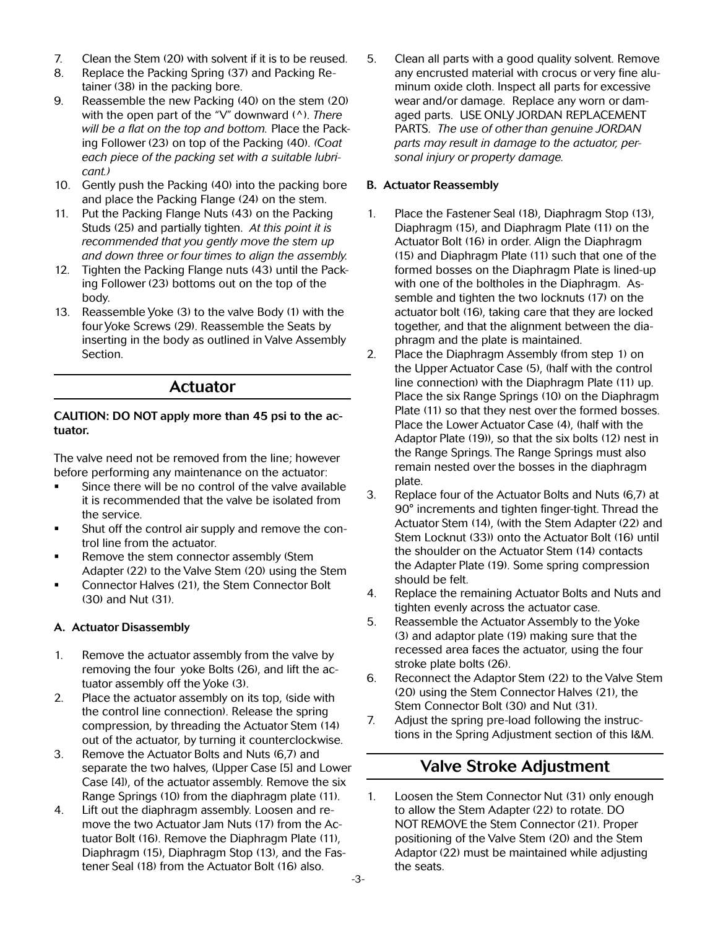- 7. Clean the Stem (20) with solvent if it is to be reused.
- 8. Replace the Packing Spring (37) and Packing Retainer (38) in the packing bore.
- 9. Reassemble the new Packing (40) on the stem (20) with the open part of the "V" downward (^). *There will be a flat on the top and bottom.* Place the Packing Follower (23) on top of the Packing (40). *(Coat each piece of the packing set with a suitable lubricant.)*
- 10. Gently push the Packing (40) into the packing bore and place the Packing Flange (24) on the stem.
- 11. Put the Packing Flange Nuts (43) on the Packing Studs (25) and partially tighten. *At this point it is recommended that you gently move the stem up and down three or four times to align the assembly.*
- 12. Tighten the Packing Flange nuts (43) until the Packing Follower (23) bottoms out on the top of the body.
- 13. Reassemble Yoke (3) to the valve Body (1) with the four Yoke Screws (29). Reassemble the Seats by inserting in the body as outlined in Valve Assembly Section.

### Actuator

#### CAUTION: DO NOT apply more than 45 psi to the actuator.

The valve need not be removed from the line; however before performing any maintenance on the actuator:

- Since there will be no control of the valve available it is recommended that the valve be isolated from the service.
- Shut off the control air supply and remove the control line from the actuator.
- Remove the stem connector assembly (Stem Adapter (22) to the Valve Stem (20) using the Stem
- Connector Halves (21), the Stem Connector Bolt (30) and Nut (31).

#### A. Actuator Disassembly

- 1. Remove the actuator assembly from the valve by removing the four yoke Bolts (26), and lift the actuator assembly off the Yoke (3).
- 2. Place the actuator assembly on its top, (side with the control line connection). Release the spring compression, by threading the Actuator Stem (14) out of the actuator, by turning it counterclockwise.
- 3. Remove the Actuator Bolts and Nuts (6,7) and separate the two halves, (Upper Case [5] and Lower Case [4]), of the actuator assembly. Remove the six Range Springs (10) from the diaphragm plate (11).
- 4. Lift out the diaphragm assembly. Loosen and remove the two Actuator Jam Nuts (17) from the Actuator Bolt (16). Remove the Diaphragm Plate (11), Diaphragm (15), Diaphragm Stop (13), and the Fastener Seal (18) from the Actuator Bolt (16) also.

5. Clean all parts with a good quality solvent. Remove any encrusted material with crocus or very fine aluminum oxide cloth. Inspect all parts for excessive wear and/or damage. Replace any worn or damaged parts. USE ONLY JORDAN REPLACEMENT PARTS. *The use of other than genuine JORDAN parts may result in damage to the actuator, personal injury or property damage.*

#### B. Actuator Reassembly

- 1. Place the Fastener Seal (18), Diaphragm Stop (13), Diaphragm (15), and Diaphragm Plate (11) on the Actuator Bolt (16) in order. Align the Diaphragm (15) and Diaphragm Plate (11) such that one of the formed bosses on the Diaphragm Plate is lined-up with one of the boltholes in the Diaphragm. Assemble and tighten the two locknuts (17) on the actuator bolt (16), taking care that they are locked together, and that the alignment between the diaphragm and the plate is maintained.
- 2. Place the Diaphragm Assembly (from step 1) on the Upper Actuator Case (5), (half with the control line connection) with the Diaphragm Plate (11) up. Place the six Range Springs (10) on the Diaphragm Plate (11) so that they nest over the formed bosses. Place the Lower Actuator Case (4), (half with the Adaptor Plate (19)), so that the six bolts (12) nest in the Range Springs. The Range Springs must also remain nested over the bosses in the diaphragm plate.
- 3. Replace four of the Actuator Bolts and Nuts (6,7) at 90° increments and tighten finger-tight. Thread the Actuator Stem (14), (with the Stem Adapter (22) and Stem Locknut (33)) onto the Actuator Bolt (16) until the shoulder on the Actuator Stem (14) contacts the Adapter Plate (19). Some spring compression should be felt.
- 4. Replace the remaining Actuator Bolts and Nuts and tighten evenly across the actuator case.
- 5. Reassemble the Actuator Assembly to the Yoke (3) and adaptor plate (19) making sure that the recessed area faces the actuator, using the four stroke plate bolts (26).
- 6. Reconnect the Adaptor Stem (22) to the Valve Stem (20) using the Stem Connector Halves (21), the Stem Connector Bolt (30) and Nut (31).
- 7. Adjust the spring pre-load following the instructions in the Spring Adjustment section of this I&M.

## Valve Stroke Adjustment

1. Loosen the Stem Connector Nut (31) only enough to allow the Stem Adapter (22) to rotate. DO NOT REMOVE the Stem Connector (21). Proper positioning of the Valve Stem (20) and the Stem Adaptor (22) must be maintained while adjusting the seats.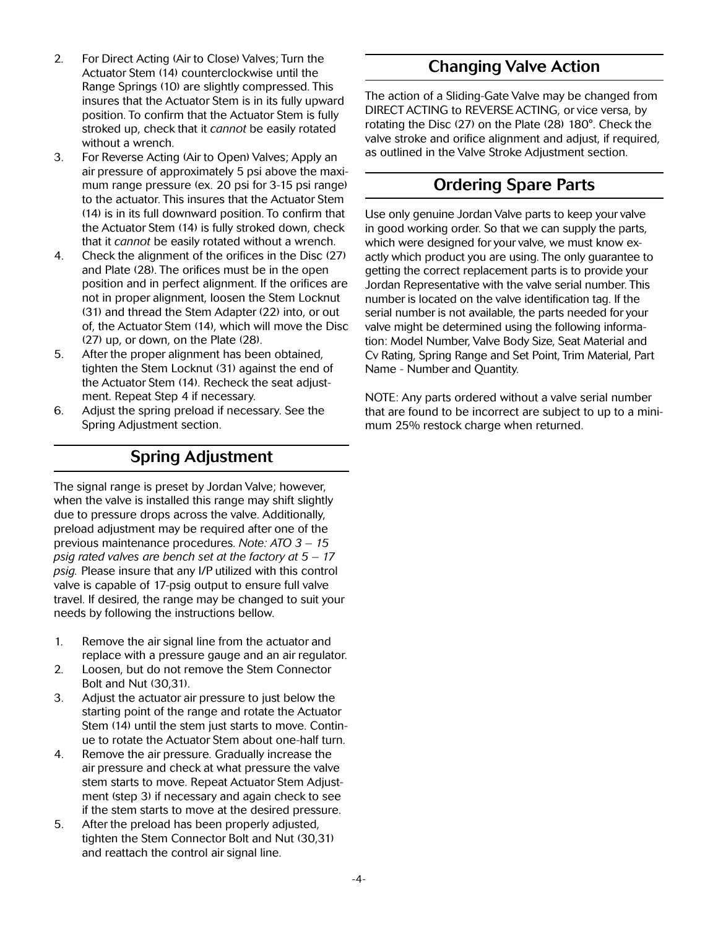- 2. For Direct Acting (Air to Close) Valves; Turn the Actuator Stem (14) counterclockwise until the Range Springs (10) are slightly compressed. This insures that the Actuator Stem is in its fully upward position. To confirm that the Actuator Stem is fully stroked up, check that it *cannot* be easily rotated without a wrench.
- 3. For Reverse Acting (Air to Open) Valves; Apply an air pressure of approximately 5 psi above the maximum range pressure (ex. 20 psi for 3-15 psi range) to the actuator. This insures that the Actuator Stem (14) is in its full downward position. To confirm that the Actuator Stem (14) is fully stroked down, check that it *cannot* be easily rotated without a wrench.
- 4. Check the alignment of the orifices in the Disc (27) and Plate (28). The orifices must be in the open position and in perfect alignment. If the orifices are not in proper alignment, loosen the Stem Locknut (31) and thread the Stem Adapter (22) into, or out of, the Actuator Stem (14), which will move the Disc (27) up, or down, on the Plate (28).
- 5. After the proper alignment has been obtained, tighten the Stem Locknut (31) against the end of the Actuator Stem (14). Recheck the seat adjustment. Repeat Step 4 if necessary.
- 6. Adjust the spring preload if necessary. See the Spring Adjustment section.

## Spring Adjustment

The signal range is preset by Jordan Valve; however, when the valve is installed this range may shift slightly due to pressure drops across the valve. Additionally, preload adjustment may be required after one of the previous maintenance procedures. *Note: ATO 3 – 15 psig rated valves are bench set at the factory at 5 – 17 psig.* Please insure that any I/P utilized with this control valve is capable of 17-psig output to ensure full valve travel. If desired, the range may be changed to suit your needs by following the instructions bellow.

- 1. Remove the air signal line from the actuator and replace with a pressure gauge and an air regulator.
- 2. Loosen, but do not remove the Stem Connector Bolt and Nut (30,31).
- 3. Adjust the actuator air pressure to just below the starting point of the range and rotate the Actuator Stem (14) until the stem just starts to move. Continue to rotate the Actuator Stem about one-half turn.
- 4. Remove the air pressure. Gradually increase the air pressure and check at what pressure the valve stem starts to move. Repeat Actuator Stem Adjustment (step 3) if necessary and again check to see if the stem starts to move at the desired pressure.
- 5. After the preload has been properly adjusted, tighten the Stem Connector Bolt and Nut (30,31) and reattach the control air signal line.

### Changing Valve Action

The action of a Sliding-Gate Valve may be changed from DIRECT ACTING to REVERSE ACTING, or vice versa, by rotating the Disc (27) on the Plate (28) 180°. Check the valve stroke and orifice alignment and adjust, if required, as outlined in the Valve Stroke Adjustment section.

### Ordering Spare Parts

Use only genuine Jordan Valve parts to keep your valve in good working order. So that we can supply the parts, which were designed for your valve, we must know exactly which product you are using. The only guarantee to getting the correct replacement parts is to provide your Jordan Representative with the valve serial number. This number is located on the valve identification tag. If the serial number is not available, the parts needed for your valve might be determined using the following information: Model Number, Valve Body Size, Seat Material and Cv Rating, Spring Range and Set Point, Trim Material, Part Name - Number and Quantity.

NOTE: Any parts ordered without a valve serial number that are found to be incorrect are subject to up to a minimum 25% restock charge when returned.